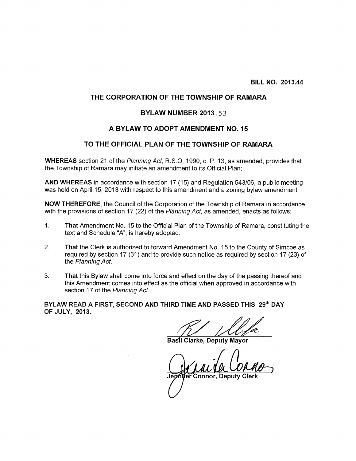#### THE CORPORATION OF THE TOWNSHIP OF RAMARA

#### **BYLAW NUMBER 2013.53**

#### A BYLAW TO ADOPT AMENDMENT NO. 15

#### TO THE OFFICIAL PLAN OF THE TOWNSHIP OF RAMARA

WHEREAS section 21 of the Planning Act, R.S.O. 1990, c. P. 13, as amended, provides that the Township of Ramara may initiate an amendment to its Official Plan;

AND WHEREAS in accordance with section 17 (15) and Regulation 543/06, a public meeting was held on April 15, 2013 with respect to this amendment and a zoning bylaw amendment;

NOW THEREFORE, the Council of the Corporation of the Township of Ramara in accordance with the provisions of section 17 (22) of the Planning Act, as amended, enacts as follows:

- 1. That Amendment No. 15 to the Official Plan of the Township of Ramara, constituting the text and Schedule "A", is hereby adopted.
- 2. That the Clerk is authorized to forward Amendment No. 15 to the County of Simcoe as required by section 17 (31) and to provide such notice as required by section 17 (23) of the Planning Act.
- 3. That this Bylaw shall come into force and effect on the day of the passing thereof and this Amendment comes into effect as the official when approved in accordance with section 17 of the Planning Act.

BYLAW READ A FIRST, SECOND AND THIRD TIME AND PASSED THIS 29th DAY OF JULY, 2013.

Are day of the passine<br>approved in accompany<br>of the set of the set of the set of the set of the set of the set of the set of the set of the set of the set of the set of the set of the set of the set of the set of the set o

Basil Clarke, Deputy Mayor

Basil Clarke, Deputy Mayor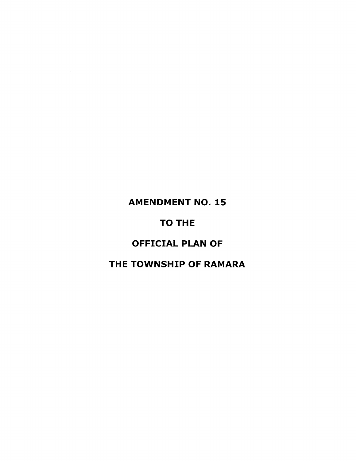# **AMENDMENT NO. 15**

# TO THE

# OFFICIAL PLAN OF

## THE TOWNSHIP OF RAMARA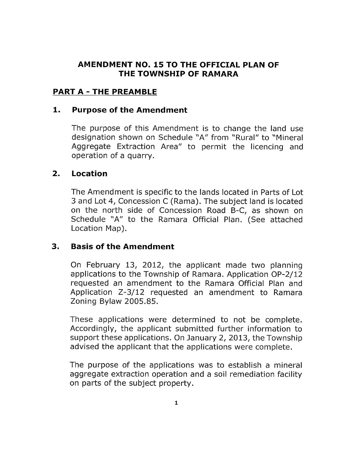### AMENDMENT NO. 15 TO THE OFFICIAL PLAN OF THE TOWNSHIP OF RAMARA

## PART A - THE PREAMBLE

#### 1. Purpose of the Amendment

The purpose of this Amendment is to change the land use designation shown on Schedule "A" from "Rural" to "Mineral Aggregate Extraction Area" to permit the licencing and operation of a quarry.

## 2. Location

The Amendment is specific to the lands located in Parts of Lot 3 and Lot 4, Concession <sup>C</sup> (Rama). The subject land is located on the north side of Concession Road B-C, as shown on Schedule "A" to the Ramara Official Plan. (See attached Location Map).

## 3. Basis of the Amendment

On February 13, 2012, the applicant made two planning applications to the Township of Ramara. Application OP-2/12 requested an amendment to the Ramara Official Plan and Application Z-3/12 requested an amendment to Ramara Zoning Bylaw 2005.85.

These applications were determined to not be complete. Accordingly, the applicant submitted further information to support these applications. On January 2, 2013, the Township advised the applicant that the applications were complete.

The purpose of the applications was to establish a mineral aggregate extraction operation and a soil remediation facility on parts of the subject property.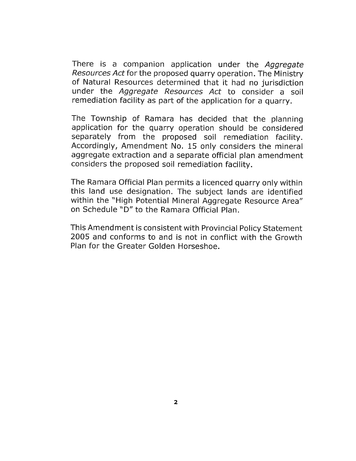There is a companion application under the Aggregate Resources Act for the proposed quarry operation. The Ministry of Natural Resources determined that it had no jurisdiction under the Aggregate Resources Act to consider a soil remediation facility as part of the application for <sup>a</sup> quarry.

The Township of Ramara has decided that the <sup>p</sup>lanning application for the quarry operation should be considered separately from the proposed soil remediation facility. Accordingly, Amendment No. 15 only considers the mineral aggregate extraction and <sup>a</sup> separate official plan amendment considers the proposed soil remediation facility.

The Ramara Official Plan permits <sup>a</sup> licenced quarry only within this land use designation. The subject lands are identified within the "High Potential Mineral Aggregate Resource Area" on Schedule "D" to the Ramara Official Plan.

This Amendment is consistent with Provincial Policy Statement 2005 and conforms to and is not in conflict with the Growth Plan for the Greater Golden Horseshoe.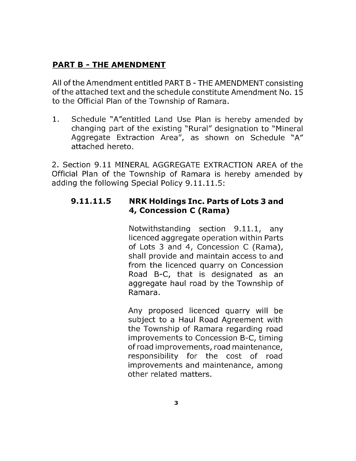## PART B - THE AMENDMENT

All of the Amendment entitled PART B - THE AMENDMENT consisting of the attached text and the schedule constitute Amendment No. 15 to the Official Plan of the Township of Ramara.

1. Schedule "A"entitled Land Use Plan is hereby amended by changing part of the existing "Rural" designation to "Mineral Aggregate Extraction Area", as shown on Schedule "A" attached hereto.

2. Section 9.11 MINERAL AGGREGATE EXTRACTION AREA of the Official Plan of the Township of Ramara is hereby amended by adding the following Special Policy 9.11.1L5:

## 9.11.11.5 NRK Holdings Inc. Parts of Lots 3 and 4, Concession <sup>C</sup> (Rama)

Notwithstanding section 9.11.1, any licenced aggregate operation within Parts of Lots 3 and 4, Concession C (Rama), shall provide and maintain access to and from the licenced quarry on Concession Road B-C, that is designated as an aggregate haul road by the Township of Ramara.

Any proposed licenced quarry will be subject to a Haul Road Agreement with the Township of Ramara regarding road improvements to Concession B-C, timing of road improvements, road maintenance, responsibility for the cost of road improvements and maintenance, among other related matters.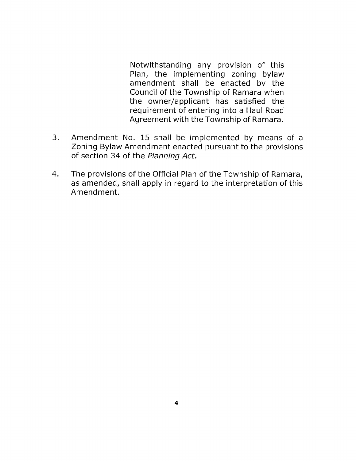Notwithstanding any provision of this Plan, the implementing zoning bylaw amendment shall be enacted by the Council of the Township of Ramara when the owner/applicant has satisfied the requirement of entering into a Haul Road Agreement with the Township of Ramara.

- 3. Amendment No. 15 shall be implemented by means of a Zoning Bylaw Amendment enacted pursuant to the provisions of section 34 of the Planning Act.
- 4. The provisions of the Official Plan of the Township of Ramara, as amended, shall apply in regard to the interpretation of this Amendment.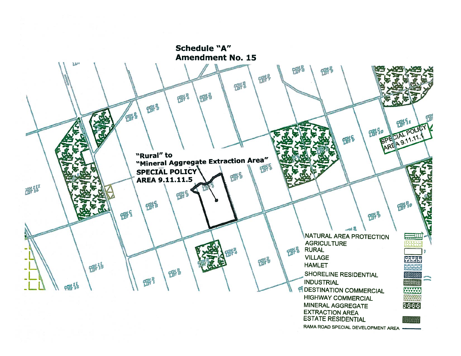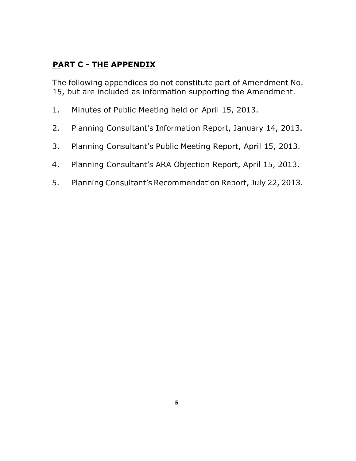# PART C - THE APPENDIX

The following appendices do not constitute part of Amendment No. 15, but are included as information supporting the Amendment.

- 1. Minutes of Public Meeting held on April 15, 2013.
- 2. Planning Consultant's Information Report, January 14, 2013.
- 3. Planning Consultant's Public Meeting Report, April 15, 2013.
- 4. Planning Consultant's ARA Objection Report, April 15, 2013.
- 5. Planning Consultant's Recommendation Report, July 22, 2013.